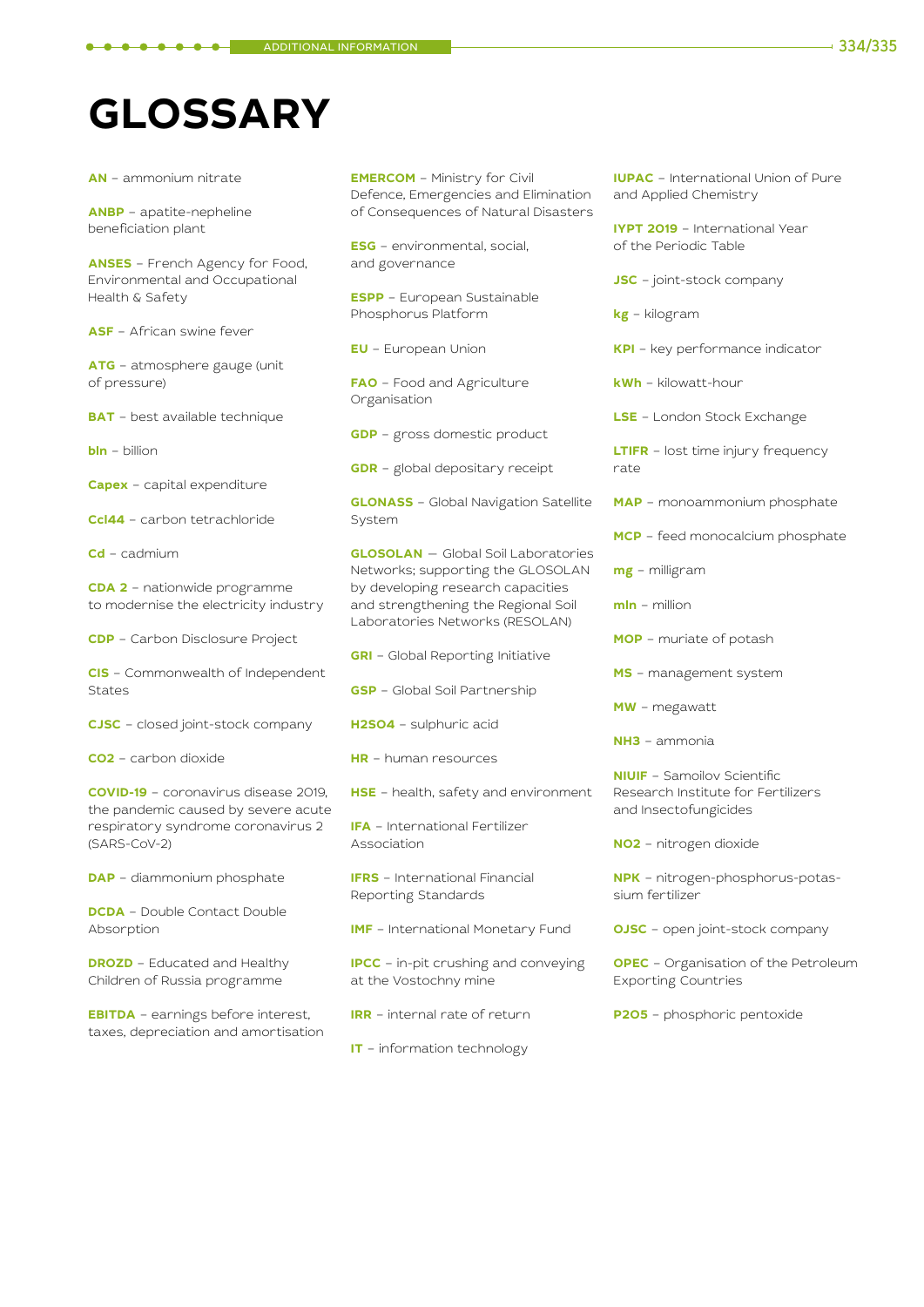## **GLOSSARY**

**AN** – ammonium nitrate

**ANBP** – apatite-nepheline beneficiation plant

**ANSES** – French Agency for Food, Environmental and Occupational Health & Safety

**ASF** – African swine fever

**ATG** – atmosphere gauge (unit of pressure)

**BAT** – best available technique

**bln** – billion

**Capex** – capital expenditure

**Ccl44** – carbon tetrachloride

**Cd** – cadmium

**CDA 2** – nationwide programme to modernise the electricity industry

**CDP** – Carbon Disclosure Project

**CIS** – Commonwealth of Independent States

**CJSC** – closed joint-stock company

**CO2** – carbon dioxide

**COVID-19** – сoronavirus disease 2019, the pandemic caused by severe acute respiratory syndrome coronavirus 2 (SARS-CoV-2)

**DAP** – diammonium phosphate

**DCDA** – Double Contact Double Absorption

**DROZD** – Educated and Healthy Children of Russia programme

**EBITDA** – earnings before interest, taxes, depreciation and amortisation **EMERCOM** – Ministry for Civil Defence, Emergencies and Elimination of Consequences of Natural Disasters

**ESG** – environmental, social, and governance

**ESPP** – European Sustainable Phosphorus Platform

**EU** – European Union

**FAO** – Food and Agriculture Organisation

**GDP** – gross domestic product

**GDR** – global depositary receipt

**GLONASS** – Global Navigation Satellite System

**GLOSOLAN** — Global Soil Laboratories Networks; supporting the GLOSOLAN by developing research capacities and strengthening the Regional Soil Laboratories Networks (RESOLAN)

**GRI** – Global Reporting Initiative

**GSP** – Global Soil Partnership

**H2SO4** – sulphuric acid

**HR** – human resources

**HSE** – health, safety and environment

**IFA** – International Fertilizer Association

**IFRS** – International Financial Reporting Standards

**IMF** – International Monetary Fund

**IPCC** – in-pit crushing and conveying at the Vostochny mine

**IRR** – internal rate of return

**IT** – information technology

**IUPAC** – International Union of Pure and Applied Chemistry

**IYPT 2019** – International Year of the Periodic Table

**JSC** – joint-stock company

**kg** – kilogram

**KPI** – key performance indicator

**kWh** – kilowatt-hour

**LSE** – London Stock Exchange

**LTIFR** – lost time injury frequency rate

**MAP** – monoammonium phosphate

**MCP** – feed monocalcium phosphate

**mg** – milligram

**mln** – million

**MOP** – muriate of potash

**MS** – management system

**MW** – megawatt

**NH3** – ammonia

**NIUIF** – Samoilov Scientific Research Institute for Fertilizers and Insectofungicides

**NO2** – nitrogen dioxide

**NPK** – nitrogen-phosphorus-potassium fertilizer

**OJSC** – open joint-stock company

**OPEC** – Organisation of the Petroleum Exporting Countries

**P2O5** – phosphoric pentoxide